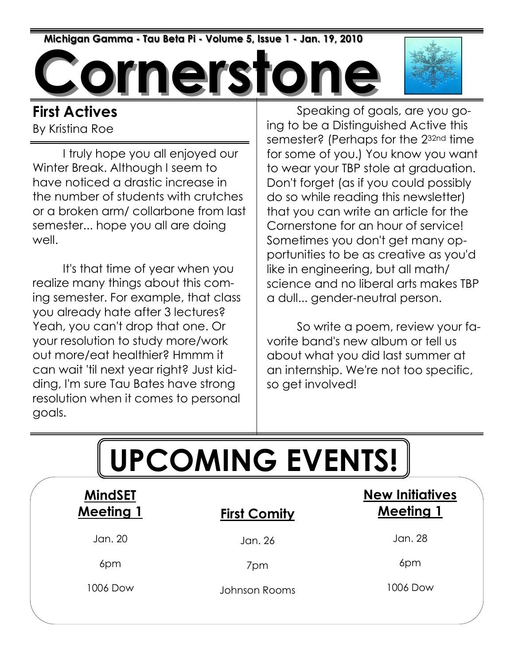Michigan Gamma - Tau Beta Pi - Volume 5, Issue 1 - Jan. 19, 2010

**nersto** 

#### First Actives By Kristina Roe

 I truly hope you all enjoyed our Winter Break. Although I seem to have noticed a drastic increase in the number of students with crutches or a broken arm/ collarbone from last semester... hope you all are doing well.

 It's that time of year when you realize many things about this coming semester. For example, that class you already hate after 3 lectures? Yeah, you can't drop that one. Or your resolution to study more/work out more/eat healthier? Hmmm it can wait 'til next year right? Just kidding, I'm sure Tau Bates have strong resolution when it comes to personal goals.

 Speaking of goals, are you going to be a Distinguished Active this semester? (Perhaps for the 2<sup>32nd</sup> time for some of you.) You know you want to wear your TBP stole at graduation. Don't forget (as if you could possibly do so while reading this newsletter) that you can write an article for the Cornerstone for an hour of service! Sometimes you don't get many opportunities to be as creative as you'd like in engineering, but all math/ science and no liberal arts makes TBP a dull... gender-neutral person.

 So write a poem, review your favorite band's new album or tell us about what you did last summer at an internship. We're not too specific, so get involved!

| <b>UPCOMING EVENTS!</b>            |                     |                                            |  |  |  |
|------------------------------------|---------------------|--------------------------------------------|--|--|--|
| <b>MindSET</b><br><b>Meeting 1</b> | <b>First Comity</b> | <b>New Initiatives</b><br><b>Meeting 1</b> |  |  |  |
| Jan. 20                            | Jan. 26             | Jan. 28                                    |  |  |  |
| 6pm                                | 7pm                 | 6pm                                        |  |  |  |
| 1006 Dow                           | Johnson Rooms       | 1006 Dow                                   |  |  |  |
|                                    |                     |                                            |  |  |  |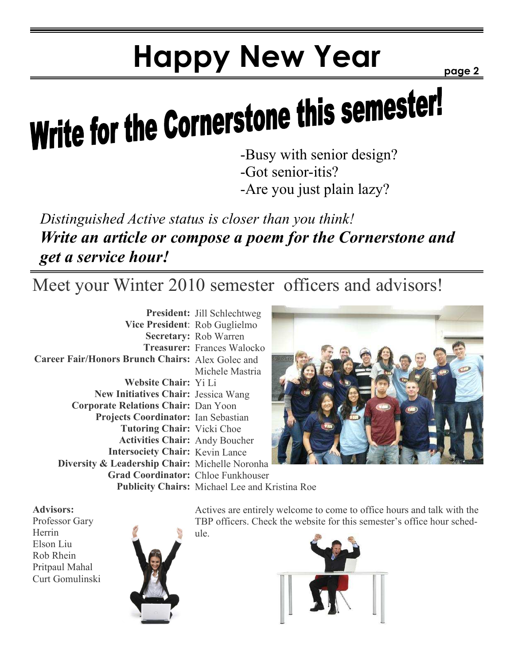# Happy New Year

page 2

# Write for the Cornerstone this semester!

-Got senior-itis?

-Are you just plain lazy?

Distinguished Active status is closer than you think! Write an article or compose a poem for the Cornerstone and get a service hour!

Meet your Winter 2010 semester officers and advisors!

|                                                         | <b>President:</b> Jill Schlechtweg                    |  |
|---------------------------------------------------------|-------------------------------------------------------|--|
| Vice President: Rob Guglielmo                           |                                                       |  |
|                                                         | <b>Secretary: Rob Warren</b>                          |  |
|                                                         | <b>Treasurer: Frances Walocko</b>                     |  |
| <b>Career Fair/Honors Brunch Chairs: Alex Golec and</b> |                                                       |  |
|                                                         | Michele Mastria                                       |  |
| Website Chair: Yi Li                                    |                                                       |  |
| <b>New Initiatives Chair: Jessica Wang</b>              |                                                       |  |
| <b>Corporate Relations Chair: Dan Yoon</b>              |                                                       |  |
| Projects Coordinator: Ian Sebastian                     |                                                       |  |
| <b>Tutoring Chair:</b> Vicki Choe                       |                                                       |  |
| <b>Activities Chair:</b> Andy Boucher                   |                                                       |  |
| <b>Intersociety Chair: Kevin Lance</b>                  |                                                       |  |
| Diversity & Leadership Chair: Michelle Noronha          |                                                       |  |
| Grad Coordinator: Chloe Funkhouser                      |                                                       |  |
|                                                         | <b>Publicity Chairs:</b> Michael Lee and Kristina Roe |  |



Advisors:

Professor Gary Herrin Elson Liu Rob Rhein Pritpaul Mahal Curt Gomulinski



Actives are entirely welcome to come to office hours and talk with the TBP officers. Check the website for this semester's office hour schedule.

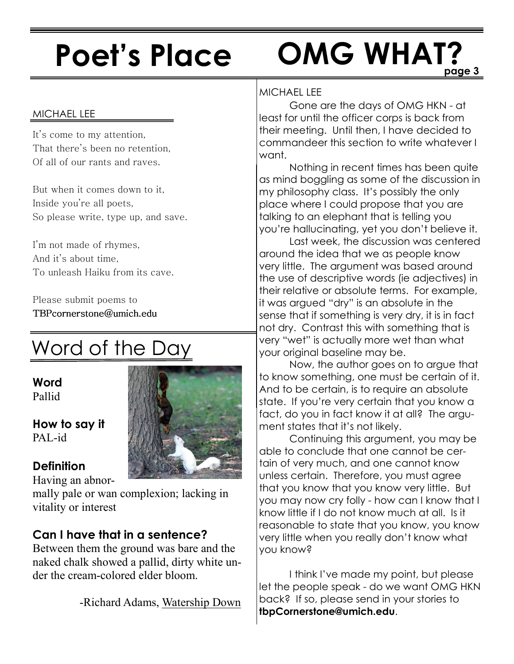# Poet's Place

### page 3 OMG WHAT?

#### MICHAEL LEE

It's come to my attention, That there's been no retention, Of all of our rants and raves.

But when it comes down to it, Inside you're all poets, So please write, type up, and save.

I'm not made of rhymes, And it's about time, To unleash Haiku from its cave.

Please submit poems to TBPcornerstone@umich.edu TBPcornerstone@umich.edu

## Word of the Day

Word Pallid

How to say it PAL-id

#### **Definition**

Having an abnor-

mally pale or wan complexion; lacking in vitality or interest

#### Can I have that in a sentence?

Between them the ground was bare and the naked chalk showed a pallid, dirty white under the cream-colored elder bloom.

-Richard Adams, Watership Down

#### MICHAEL LEE

 Gone are the days of OMG HKN - at least for until the officer corps is back from their meeting. Until then, I have decided to commandeer this section to write whatever I want.

 Nothing in recent times has been quite as mind boggling as some of the discussion in my philosophy class. It's possibly the only place where I could propose that you are talking to an elephant that is telling you you're hallucinating, yet you don't believe it.

 Last week, the discussion was centered around the idea that we as people know very little. The argument was based around the use of descriptive words (ie adjectives) in their relative or absolute terms. For example, it was argued "dry" is an absolute in the sense that if something is very dry, it is in fact not dry. Contrast this with something that is very "wet" is actually more wet than what your original baseline may be.

 Now, the author goes on to argue that to know something, one must be certain of it. And to be certain, is to require an absolute state. If you're very certain that you know a fact, do you in fact know it at all? The argument states that it's not likely.

 Continuing this argument, you may be able to conclude that one cannot be certain of very much, and one cannot know unless certain. Therefore, you must agree that you know that you know very little. But you may now cry folly - how can I know that I know little if I do not know much at all. Is it reasonable to state that you know, you know very little when you really don't know what you know?

 I think I've made my point, but please let the people speak - do we want OMG HKN back? If so, please send in your stories to tbpCornerstone@umich.edu.